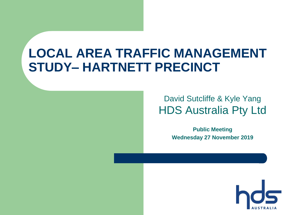## **LOCAL AREA TRAFFIC MANAGEMENT STUDY– HARTNETT PRECINCT**

#### David Sutcliffe & Kyle Yang HDS Australia Pty Ltd

**Public Meeting Wednesday 27 November 2019**

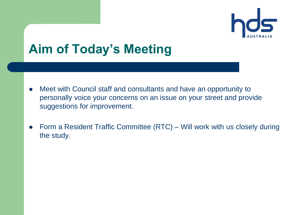

## **Aim of Today's Meeting**

- Meet with Council staff and consultants and have an opportunity to personally voice your concerns on an issue on your street and provide suggestions for improvement.
- Form a Resident Traffic Committee (RTC) Will work with us closely during the study.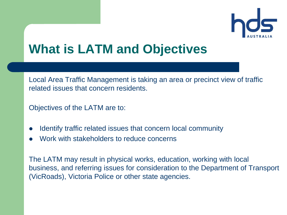

## **What is LATM and Objectives**

Local Area Traffic Management is taking an area or precinct view of traffic related issues that concern residents.

Objectives of the LATM are to:

- Identify traffic related issues that concern local community
- Work with stakeholders to reduce concerns

The LATM may result in physical works, education, working with local business, and referring issues for consideration to the Department of Transport (VicRoads), Victoria Police or other state agencies.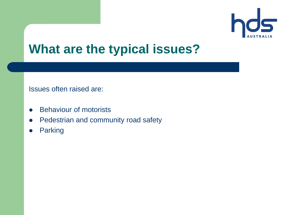

### **What are the typical issues?**

Issues often raised are:

- Behaviour of motorists
- Pedestrian and community road safety
- Parking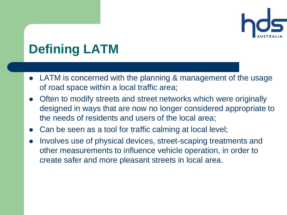

# **Defining LATM**

- LATM is concerned with the planning & management of the usage of road space within a local traffic area;
- Often to modify streets and street networks which were originally designed in ways that are now no longer considered appropriate to the needs of residents and users of the local area;
- Can be seen as a tool for traffic calming at local level;
- Involves use of physical devices, street-scaping treatments and other measurements to influence vehicle operation, in order to create safer and more pleasant streets in local area.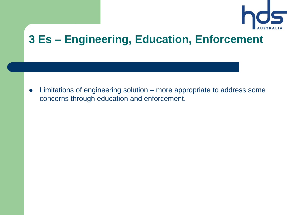

#### **3 Es – Engineering, Education, Enforcement**

 Limitations of engineering solution – more appropriate to address some concerns through education and enforcement.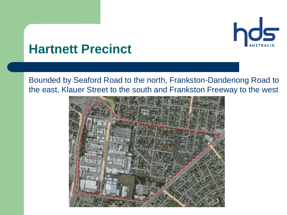

### **Hartnett Precinct**

Bounded by Seaford Road to the north, Frankston-Dandenong Road to the east, Klauer Street to the south and Frankston Freeway to the west

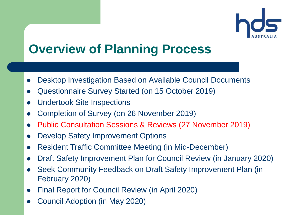

## **Overview of Planning Process**

- Desktop Investigation Based on Available Council Documents
- Questionnaire Survey Started (on 15 October 2019)
- Undertook Site Inspections
- Completion of Survey (on 26 November 2019)
- Public Consultation Sessions & Reviews (27 November 2019)
- Develop Safety Improvement Options
- Resident Traffic Committee Meeting (in Mid-December)
- Draft Safety Improvement Plan for Council Review (in January 2020)
- Seek Community Feedback on Draft Safety Improvement Plan (in February 2020)
- Final Report for Council Review (in April 2020)
- Council Adoption (in May 2020)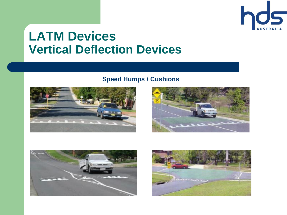

### **LATM Devices Vertical Deflection Devices**

#### **Speed Humps / Cushions**







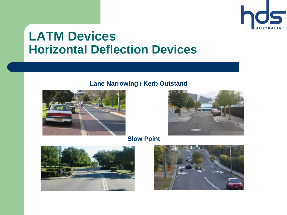

### **LATM Devices Horizontal Deflection Devices**

#### **Lane Narrowing / Kerb Outstand**





**Slow Point**



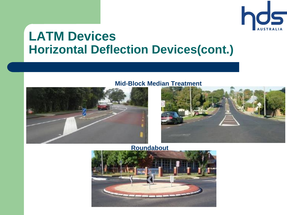

### **LATM Devices Horizontal Deflection Devices(cont.)**

**Mid-Block Median Treatment**





**Roundabout**

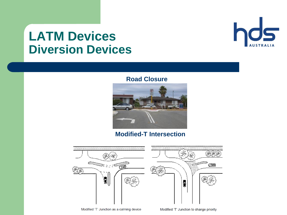### **LATM Devices Diversion Devices**



#### **Road Closure**



#### **Modified-T Intersection**

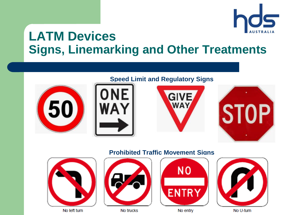

### **LATM Devices Signs, Linemarking and Other Treatments**











#### **Prohibited Traffic Movement Signs**



No left turn



No trucks





No entry

No U-turn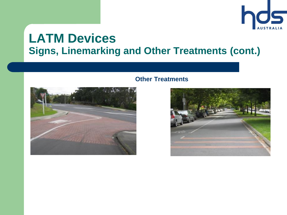

#### **LATM Devices Signs, Linemarking and Other Treatments (cont.)**



#### **Other Treatments**

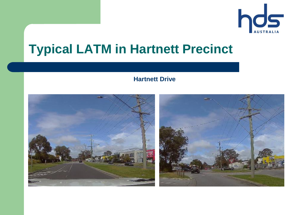

## **Typical LATM in Hartnett Precinct**

#### **Hartnett Drive**

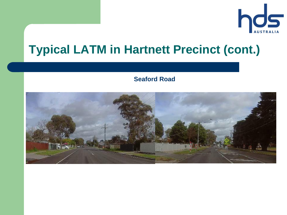

## **Typical LATM in Hartnett Precinct (cont.)**

#### **Seaford Road**

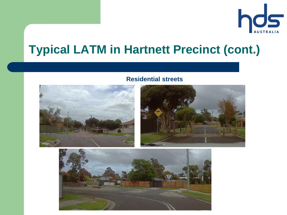

## **Typical LATM in Hartnett Precinct (cont.)**

#### **Residential streets**





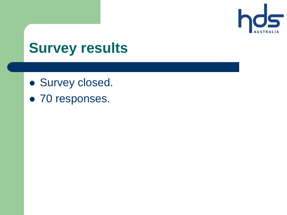

# **Survey results**

- **Survey closed.**
- 70 responses.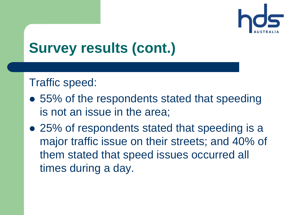

#### Traffic speed:

- 55% of the respondents stated that speeding is not an issue in the area;
- 25% of respondents stated that speeding is a major traffic issue on their streets; and 40% of them stated that speed issues occurred all times during a day.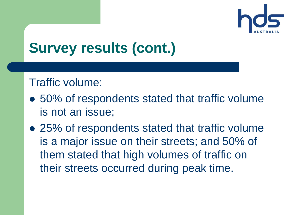

#### Traffic volume:

- 50% of respondents stated that traffic volume is not an issue;
- 25% of respondents stated that traffic volume is a major issue on their streets; and 50% of them stated that high volumes of traffic on their streets occurred during peak time.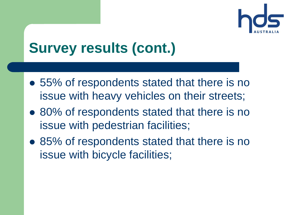

- 55% of respondents stated that there is no issue with heavy vehicles on their streets;
- 80% of respondents stated that there is no issue with pedestrian facilities;
- 85% of respondents stated that there is no issue with bicycle facilities;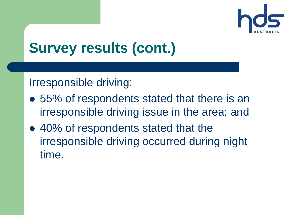

### Irresponsible driving:

- 55% of respondents stated that there is an irresponsible driving issue in the area; and
- 40% of respondents stated that the irresponsible driving occurred during night time.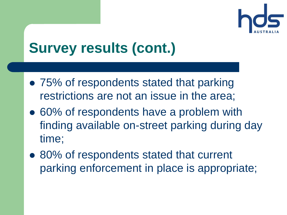

- 75% of respondents stated that parking restrictions are not an issue in the area;
- 60% of respondents have a problem with finding available on-street parking during day time;
- 80% of respondents stated that current parking enforcement in place is appropriate;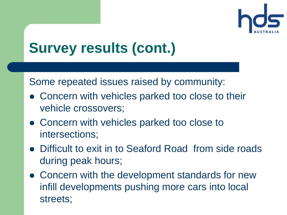

Some repeated issues raised by community:

- Concern with vehicles parked too close to their vehicle crossovers;
- Concern with vehicles parked too close to intersections;
- Difficult to exit in to Seaford Road from side roads during peak hours;
- Concern with the development standards for new infill developments pushing more cars into local streets;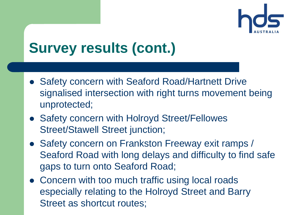

- Safety concern with Seaford Road/Hartnett Drive signalised intersection with right turns movement being unprotected;
- Safety concern with Holroyd Street/Fellowes Street/Stawell Street junction;
- Safety concern on Frankston Freeway exit ramps / Seaford Road with long delays and difficulty to find safe gaps to turn onto Seaford Road;
- Concern with too much traffic using local roads especially relating to the Holroyd Street and Barry Street as shortcut routes;